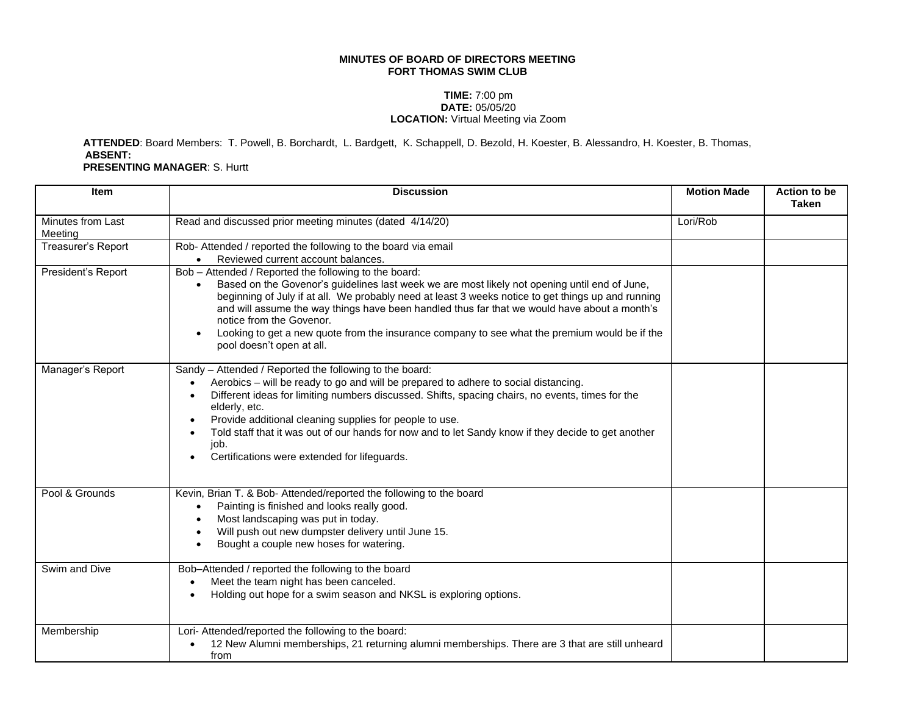## **MINUTES OF BOARD OF DIRECTORS MEETING FORT THOMAS SWIM CLUB**

## **TIME:** 7:00 pm **DATE:** 05/05/20 **LOCATION:** Virtual Meeting via Zoom

**ATTENDED**: Board Members: T. Powell, B. Borchardt, L. Bardgett, K. Schappell, D. Bezold, H. Koester, B. Alessandro, H. Koester, B. Thomas, **ABSENT:**

**PRESENTING MANAGER**: S. Hurtt

| <b>Item</b>                  | <b>Discussion</b>                                                                                                                                                                                                                                                                                                                                                                                                                                                                                                      | <b>Motion Made</b> | Action to be<br><b>Taken</b> |
|------------------------------|------------------------------------------------------------------------------------------------------------------------------------------------------------------------------------------------------------------------------------------------------------------------------------------------------------------------------------------------------------------------------------------------------------------------------------------------------------------------------------------------------------------------|--------------------|------------------------------|
| Minutes from Last<br>Meeting | Read and discussed prior meeting minutes (dated 4/14/20)                                                                                                                                                                                                                                                                                                                                                                                                                                                               | Lori/Rob           |                              |
| Treasurer's Report           | Rob- Attended / reported the following to the board via email<br>Reviewed current account balances.                                                                                                                                                                                                                                                                                                                                                                                                                    |                    |                              |
| President's Report           | Bob - Attended / Reported the following to the board:<br>Based on the Govenor's guidelines last week we are most likely not opening until end of June,<br>beginning of July if at all. We probably need at least 3 weeks notice to get things up and running<br>and will assume the way things have been handled thus far that we would have about a month's<br>notice from the Govenor.<br>Looking to get a new quote from the insurance company to see what the premium would be if the<br>pool doesn't open at all. |                    |                              |
| Manager's Report             | Sandy - Attended / Reported the following to the board:<br>Aerobics - will be ready to go and will be prepared to adhere to social distancing.<br>Different ideas for limiting numbers discussed. Shifts, spacing chairs, no events, times for the<br>elderly, etc.<br>Provide additional cleaning supplies for people to use.<br>$\bullet$<br>Told staff that it was out of our hands for now and to let Sandy know if they decide to get another<br>job.<br>Certifications were extended for lifeguards.             |                    |                              |
| Pool & Grounds               | Kevin, Brian T. & Bob- Attended/reported the following to the board<br>Painting is finished and looks really good.<br>$\bullet$<br>Most landscaping was put in today.<br>Will push out new dumpster delivery until June 15.<br>Bought a couple new hoses for watering.                                                                                                                                                                                                                                                 |                    |                              |
| Swim and Dive                | Bob-Attended / reported the following to the board<br>Meet the team night has been canceled.<br>Holding out hope for a swim season and NKSL is exploring options.<br>$\bullet$                                                                                                                                                                                                                                                                                                                                         |                    |                              |
| Membership                   | Lori- Attended/reported the following to the board:<br>12 New Alumni memberships, 21 returning alumni memberships. There are 3 that are still unheard<br>from                                                                                                                                                                                                                                                                                                                                                          |                    |                              |